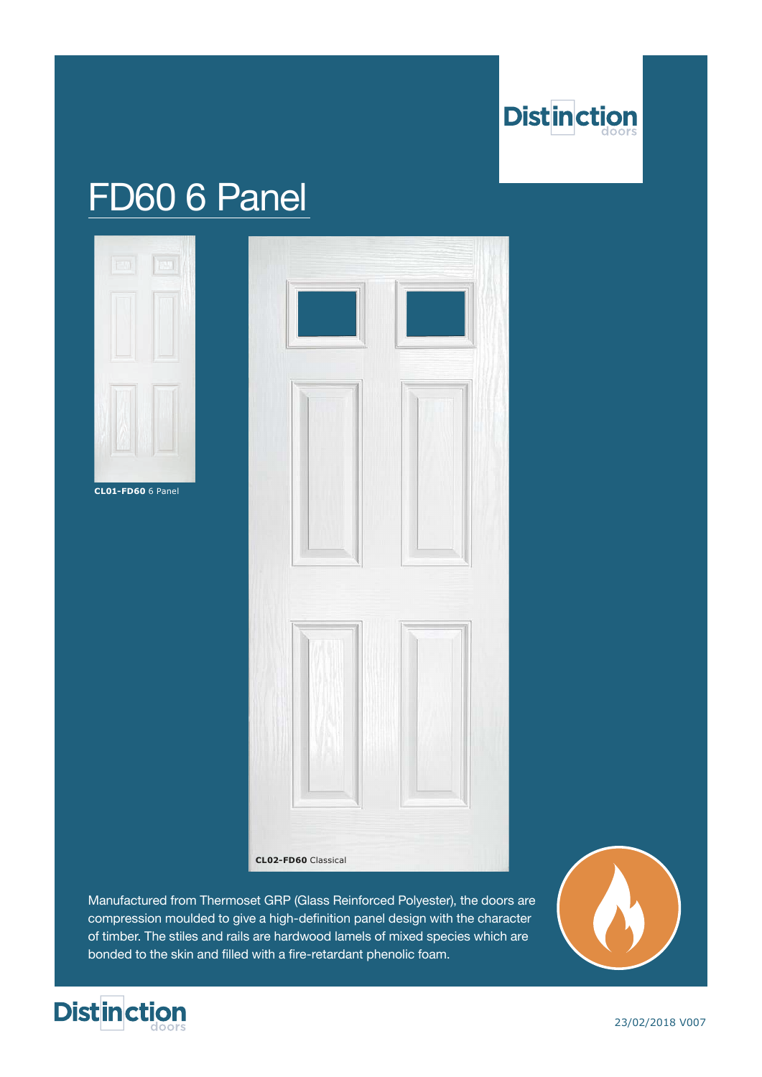

# FD60 6 Panel



**CL01-FD60** 6 Panel



Manufactured from Thermoset GRP (Glass Reinforced Polyester), the doors are compression moulded to give a high-definition panel design with the character of timber. The stiles and rails are hardwood lamels of mixed species which are bonded to the skin and filled with a fire-retardant phenolic foam.